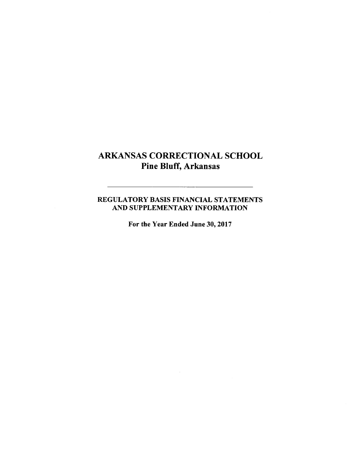## ARKANSAS CORRECTIONAL SCHOOL Pine Bluff, Arkansas

### REGULATORY BASIS FINANCIAL STATEMENTS AND SUPPLEMENTARY INFORMATION

For the Year Ended June 30,2017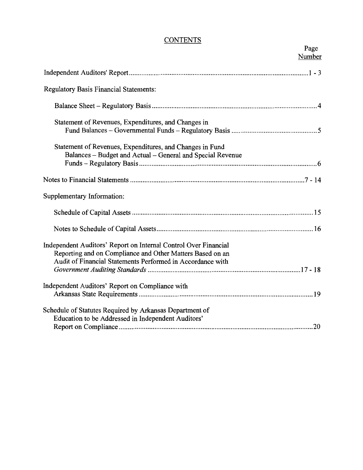# **CONTENTS**

| ≁a⊾    |  |
|--------|--|
| Number |  |

| <b>Regulatory Basis Financial Statements:</b>                                                                                                                                              |
|--------------------------------------------------------------------------------------------------------------------------------------------------------------------------------------------|
|                                                                                                                                                                                            |
| Statement of Revenues, Expenditures, and Changes in                                                                                                                                        |
| Statement of Revenues, Expenditures, and Changes in Fund<br>Balances – Budget and Actual – General and Special Revenue                                                                     |
|                                                                                                                                                                                            |
| Supplementary Information:                                                                                                                                                                 |
|                                                                                                                                                                                            |
|                                                                                                                                                                                            |
| Independent Auditors' Report on Internal Control Over Financial<br>Reporting and on Compliance and Other Matters Based on an<br>Audit of Financial Statements Performed in Accordance with |
| Independent Auditors' Report on Compliance with                                                                                                                                            |
| Schedule of Statutes Required by Arkansas Department of<br>Education to be Addressed in Independent Auditors'                                                                              |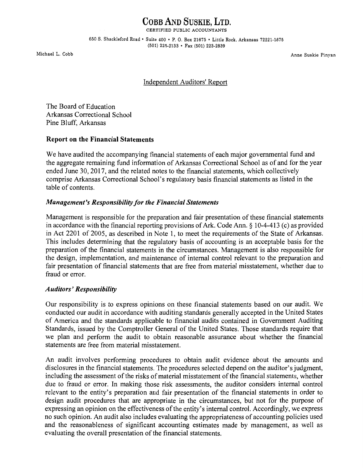# **COBB AND SUSKIE, LTD.**

CERTIFIED PUBLIC ACCOUNTANTS

650 S. Shackleford Road • Suite 400 • P. 0. Box 21675 • Little Rock. Arkansas 72221-1675 (501) 225-2133 • Fax (501) 223-2839

Michael L. Cobb

Anne Suskie Pinyan

Independent Auditors' Report

The Board of Education Arkansas Correctional School Pine Bluff, Arkansas

#### **Report on the Financial Statements**

We have audited the accompanying financial statements of each major governmental fund and the aggregate remaining fund information of Arkansas Correctional School as of and for the year ended June 30, 2017, and the related notes to the financial statements, which collectively comprise Arkansas Correctional School's regulatory basis financial statements as listed in the table of contents.

#### *Management's Responsibility for the Financial Statements*

Management is responsible for the preparation and fair presentation of these financial statements in accordance with the financial reporting provisions of Ark. Code Ann. § 10-4-413 (c) as provided in Act 2201 of 2005, as described in Note 1, to meet the requirements of the State of Arkansas. This includes determining that the regulatory basis of accounting is an acceptable basis for the preparation of the financial statements in the circumstances. Management is also responsible for the design, implementation, and maintenance of internal control relevant to the preparation and fair presentation of financial statements that are free from material misstatement, whether due to fraud or error.

#### *Auditors' Responsibility*

Our responsibility is to express opinions on these financial statements based on our audit. We conducted our audit in accordance with auditing standards generally accepted in the United States of America and the standards applicable to financial audits contained in Government Auditing Standards, issued by the Comptroller General of the United States. Those standards require that we plan and perform the audit to obtain reasonable assurance about whether the financial statements are free from material misstatement.

An audit involves performing procedures to obtain audit evidence about the amounts and disclosures in the financial statements. The procedures selected depend on the auditor's judgment, including the assessment of the risks of material misstatement of the financial statements, whether due to fraud or error. In making those risk assessments, the auditor considers internal control relevant to the entity's preparation and fair presentation of the financial statements in order to design audit procedures that are appropriate in the circumstances, but not for the purpose of expressing an opinion on the effectiveness of the entity's internal control. Accordingly, we express no such opinion. An audit also includes evaluating the appropriateness of accounting policies used and the reasonableness of significant accounting estimates made by management, as well as evaluating the overall presentation of the financial statements.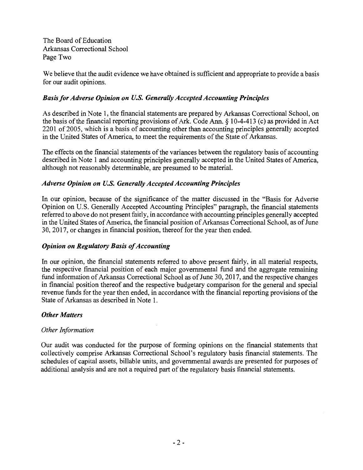The Board of Education Arkansas Correctional School Page Two

We believe that the audit evidence we have obtained is sufficient and appropriate to provide a basis for our audit opinions.

### *Basis for Adverse Opinion on U.S. Generally Accepted Accounting Principles*

As described in Note 1, the financial statements are prepared by Arkansas Correctional School, on the basis of the financial reporting provisions of Ark. Code Ann. *§* 10-4-413 (c) as provided in Act 2201 of 2005, which is a basis of accounting other than accounting principles generally accepted in the United States of America, to meet the requirements of the State of Arkansas.

The effects on the financial statements of the variances between the regulatory basis of accounting described in Note 1 and accounting principles generally accepted in the United States of America, although not reasonably determinable, are presumed to be material.

### *Adverse Opinion on U.S. Generally Accepted Accounting Principles*

In our opinion, because of the significance of the matter discussed in the "Basis for Adverse Opinion on U.S. Generally Accepted Accounting Principles" paragraph, the financial statements referred to above do not present fairly, in accordance with accounting principles generally accepted in the United States of America, the financial position of Arkansas Correctional School, as of June 30, 2017, or changes in financial position, thereof for the year then ended.

### *Opinion on Regulatory Basis of Accounting*

In our opinion, the financial statements referred to above present fairly, in all material respects, the respective financial position of each major governmental fund and the aggregate remaining fund information of Arkansas Correctional School as of June 30, 2017, and the respective changes in financial position thereof and the respective budgetary comparison for the general and special revenue funds for the year then ended, in accordance with the financial reporting provisions of the State of Arkansas as described in Note 1.

### *Other Matters*

### *Other Information*

Our audit was conducted for the purpose of forming opinions on the financial statements that collectively comprise Arkansas Correctional School's regulatory basis financial statements. The schedules of capital assets, billable units, and governmental awards are presented for purposes of additional analysis and are not a required part of the regulatory basis financial statements.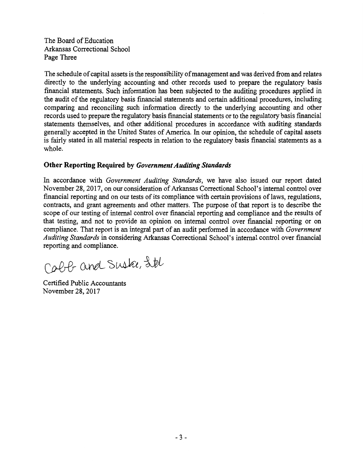The Board of Education Arkansas Correctional School Page Three

The schedule of capital assets is the responsibility of management and was derived from and relates directly to the underlying accounting and other records used to prepare the regulatory basis financial statements. Such information has been subjected to the auditing procedures applied in the audit of the regulatory basis fmancial statements and certain additional procedures, including comparing and reconciling such information directly to the underlying accounting and other records used to prepare the regulatory basis financial statements or to the regulatory basis fmancial statements themselves, and other additional procedures in accordance with auditing standards generally accepted in the United States of America. In our opinion, the schedule of capital assets is fairly stated in all material respects in relation to the regulatory basis financial statements as a whole.

### **Other Reporting Required by** *Government Auditing Standards*

In accordance with *Government Auditing Standards,* we have also issued our report dated November 28, 2017, on our consideration of Arkansas Correctional School's internal control over financial reporting and on our tests of its compliance with certain provisions of laws, regulations, contracts, and grant agreements and other matters. The purpose of that report is to describe the scope of our testing of internal control over financial reporting and compliance and the results of that testing, and not to provide an opinion on internal control over fmancial reporting or on compliance. That report is an integral part of an audit performed in accordance with *Government Auditing Standards* in considering Arkansas Correctional School's internal control over financial reporting and compliance.

Cabb and Suski, Stel

Certified Public Accountants November 28, 2017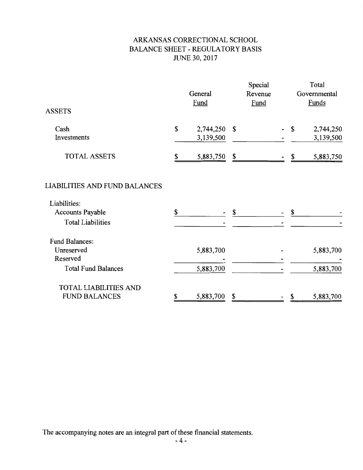## ARKANSAS CORRECTIONAL SCHOOL BALANCE SHEET- REGULATORY BASIS JUNE 30, 2017

| <b>ASSETS</b>                        | General<br>Fund              | Special<br>Revenue<br>Fund | Total<br>Governmental<br><b>Funds</b> |
|--------------------------------------|------------------------------|----------------------------|---------------------------------------|
| Cash<br>Investments                  | \$<br>2,744,250<br>3,139,500 | \$                         | \$<br>2,744,250<br>3,139,500          |
| <b>TOTAL ASSETS</b>                  | \$<br>5,883,750              | \$                         | \$<br>5,883,750                       |
| <b>LIABILITIES AND FUND BALANCES</b> |                              |                            |                                       |
| Liabilities:                         |                              |                            |                                       |
| Accounts Payable                     | \$                           | \$                         | \$                                    |
| <b>Total Liabilities</b>             |                              |                            |                                       |
| <b>Fund Balances:</b>                |                              |                            |                                       |
| Unreserved                           | 5,883,700                    |                            | 5,883,700                             |
| Reserved                             |                              |                            |                                       |
| <b>Total Fund Balances</b>           | 5,883,700                    |                            | 5,883,700                             |
| <b>TOTAL LIABILITIES AND</b>         |                              |                            |                                       |
| <b>FUND BALANCES</b>                 | 5,883,700                    | \$                         | \$<br>5,883,700                       |

The accompanying notes are an integral part of these financial statements.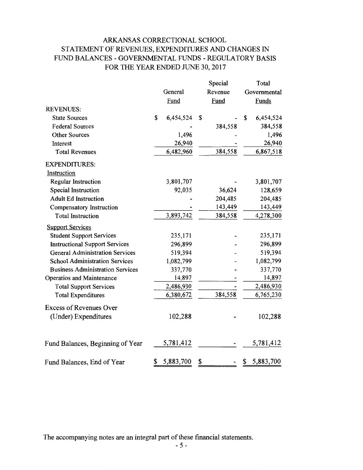## ARKANSAS CORRECTIONAL SCHOOL STATEMENT OF REVENUES, EXPENDITURES AND CHANGES IN FUND BALANCES- GOVERNMENTAL FUNDS- REGULATORY BASIS FOR THE YEAR ENDED JUNE 30, 2017

|                                         |    |           | Special | Total           |
|-----------------------------------------|----|-----------|---------|-----------------|
|                                         |    | General   | Revenue | Governmental    |
|                                         |    | Fund      | Fund    | Funds           |
| <b>REVENUES:</b>                        |    |           |         |                 |
| <b>State Sources</b>                    | \$ | 6,454,524 | \$      | \$<br>6,454,524 |
| <b>Federal Sources</b>                  |    |           | 384,558 | 384,558         |
| <b>Other Sources</b>                    |    | 1,496     |         | 1,496           |
| Interest                                |    | 26,940    |         | 26,940          |
| <b>Total Revenues</b>                   |    | 6,482,960 | 384,558 | 6,867,518       |
| <b>EXPENDITURES:</b>                    |    |           |         |                 |
| Instruction                             |    |           |         |                 |
| <b>Regular Instruction</b>              |    | 3,801,707 |         | 3,801,707       |
| Special Instruction                     |    | 92,035    | 36,624  | 128,659         |
| <b>Adult Ed Instruction</b>             |    |           | 204,485 | 204,485         |
| <b>Compensatory Instruction</b>         |    |           | 143,449 | 143,449         |
| <b>Total Instruction</b>                |    | 3,893,742 | 384,558 | 4,278,300       |
| <b>Support Services</b>                 |    |           |         |                 |
| <b>Student Support Services</b>         |    | 235,171   |         | 235,171         |
| <b>Instructional Support Services</b>   |    | 296,899   |         | 296,899         |
| <b>General Administration Services</b>  |    | 519,394   |         | 519,394         |
| <b>School Administration Services</b>   |    | 1,082,799 |         | 1,082,799       |
| <b>Business Administration Services</b> |    | 337,770   |         | 337,770         |
| Operatios and Maintenance               |    | 14,897    |         | 14,897          |
| <b>Total Support Services</b>           |    | 2,486,930 |         | 2,486,930       |
| <b>Total Expenditures</b>               |    | 6,380,672 | 384,558 | 6,765,230       |
| <b>Excess of Revenues Over</b>          |    |           |         |                 |
| (Under) Expenditures                    |    | 102,288   |         | 102,288         |
| Fund Balances, Beginning of Year        |    | 5,781,412 |         | 5,781,412       |
| Fund Balances, End of Year              | S  | 5,883,700 | \$      | \$<br>5,883,700 |

The accompanying notes are an integral part of these financial statements.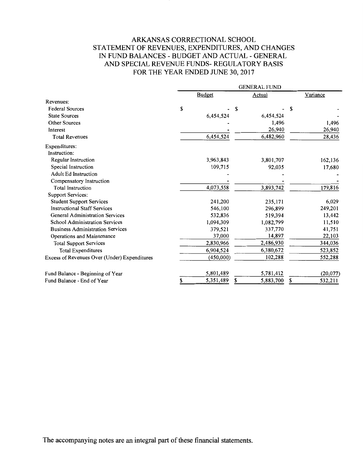### ARKANSAS CORRECTIONAL SCHOOL STATEMENT OF REVENUES, EXPENDITURES, AND CHANGES IN FUND BALANCES -BUDGET AND ACTUAL- GENERAL AND SPECIAL REVENUE FUNDS- REGULATORY BASIS FOR THE YEAR ENDED JUNE 30, 2017

|                                              | <b>GENERAL FUND</b> |                 |               |
|----------------------------------------------|---------------------|-----------------|---------------|
|                                              | <b>Budget</b>       | <b>Actual</b>   | Variance      |
| Revenues:                                    |                     |                 |               |
| <b>Federal Sources</b>                       | \$                  | S               | \$            |
| <b>State Sources</b>                         | 6,454,524           | 6,454,524       |               |
| <b>Other Sources</b>                         |                     | 1,496           | 1,496         |
| Interest                                     |                     | 26,940          | 26,940        |
| <b>Total Revenues</b>                        | 6,454,524           | 6,482,960       | 28,436        |
| Expenditures:                                |                     |                 |               |
| Instruction:                                 |                     |                 |               |
| Regular Instruction                          | 3,963,843           | 3,801,707       | 162,136       |
| Special Instruction                          | 109,715             | 92,035          | 17,680        |
| <b>Adult Ed Instruction</b>                  |                     |                 |               |
| Compensatory Instruction                     |                     |                 |               |
| <b>Total Instruction</b>                     | 4,073,558           | 3,893,742       | 179,816       |
| <b>Support Services:</b>                     |                     |                 |               |
| <b>Student Support Services</b>              | 241,200             | 235,171         | 6,029         |
| <b>Instructional Staff Services</b>          | 546,100             | 296.899         | 249,201       |
| <b>General Administration Services</b>       | 532,836             | 519,394         | 13,442        |
| <b>School Administration Services</b>        | 1,094,309           | 1,082,799       | 11,510        |
| <b>Business Administration Services</b>      | 379,521             | 337,770         | 41,751        |
| Operations and Maintenance                   | 37,000              | 14,897          | 22,103        |
| <b>Total Support Services</b>                | 2,830,966           | 2,486,930       | 344,036       |
| <b>Total Expenditures</b>                    | 6,904,524           | 6,380,672       | 523,852       |
| Excess of Revenues Over (Under) Expenditures | (450,000)           | 102,288         | 552,288       |
| Fund Balance - Beginning of Year             | 5,801,489           | 5,781,412       | (20, 077)     |
| Fund Balance - End of Year                   | 5,351,489<br>\$     | \$<br>5,883,700 | \$<br>532,211 |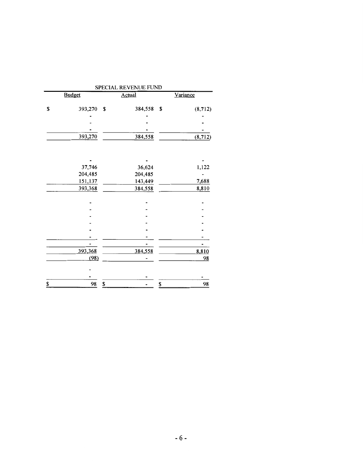| <b>Budget</b> |         | SPECIAL REVENUE FUND<br>Actual | Variance       |
|---------------|---------|--------------------------------|----------------|
|               |         |                                |                |
| \$            | 393,270 | \$<br>384,558                  | \$<br>(8,712)  |
|               |         |                                |                |
|               |         |                                |                |
|               |         |                                |                |
|               | 393,270 | 384,558                        | (8, 712)       |
|               |         |                                |                |
|               |         |                                |                |
|               | 37,746  | 36,624                         | 1,122          |
|               | 204,485 | 204,485                        |                |
|               | 151,137 | 143,449                        | 7,688          |
|               | 393,368 | 384,558                        | 8,810          |
|               |         |                                |                |
|               |         |                                |                |
|               |         |                                |                |
|               |         |                                |                |
|               |         |                                |                |
|               |         |                                |                |
|               |         |                                |                |
|               | 393,368 | 384,558                        | 8,810          |
|               | (98)    |                                | $\frac{98}{2}$ |
|               |         |                                |                |
|               |         |                                |                |
| \$            | 98      | \$                             | \$<br>98       |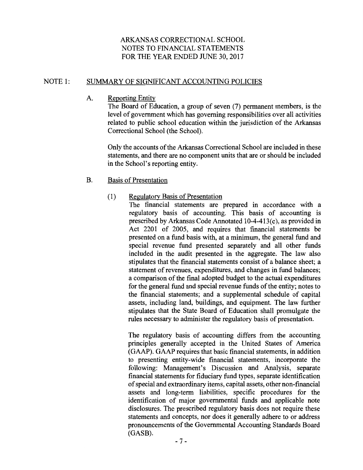#### NOTE 1: SUMMARY OF SIGNIFICANT ACCOUNTING POLICIES

A. Reporting Entity

The Board of Education, a group of seven (7) permanent members, is the level of government which has governing responsibilities over all activities related to public school education within the jurisdiction of the Arkansas Correctional School (the School).

Only the accounts of the Arkansas Correctional School are included in these statements, and there are no component units that are or should be included in the School's reporting entity.

- B. Basis of Presentation
	- ( 1) Regulatory Basis of Presentation

The financial statements are prepared in accordance with a regulatory basis of accounting. This basis of accounting is prescribed by Arkansas Code Annotated 10-4-413(c), as provided in Act 2201 of 2005, and requires that financial statements be presented on a fund basis with, at a minimum, the general fund and special revenue fund presented separately and all other funds included in the audit presented in the aggregate. The law also stipulates that the financial statements consist of a balance sheet; a statement of revenues, expenditures, and changes in fund balances; a comparison of the final adopted budget to the actual expenditures for the general fund and special revenue funds of the entity; notes to the financial statements; and a supplemental schedule of capital assets, including land, buildings, and equipment. The law further stipulates that the State Board of Education shall promulgate the rules necessary to administer the regulatory basis of presentation.

The regulatory basis of accounting differs from the accounting principles generally accepted in the United States of America (GAAP). GAAP requires that basic financial statements, in addition to presenting entity-wide financial statements, incorporate the following: Management's Discussion and Analysis, separate financial statements for fiduciary fund types, separate identification of special and extraordinary items, capital assets, other non-financial assets and long-term liabilities, specific procedures for the identification of major governmental funds and applicable note disclosures. The prescribed regulatory basis does not require these statements and concepts, nor does it generally adhere to or address pronouncements of the Governmental Accounting Standards Board (GASB).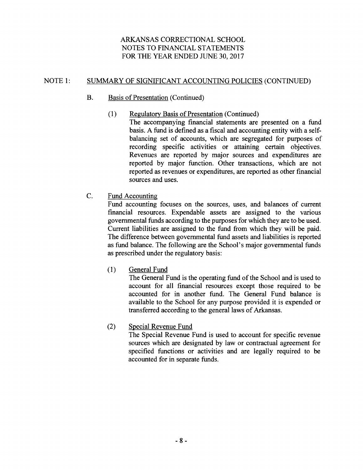#### NOTE 1: SUMMARY OF SIGNIFICANT ACCOUNTING POLICIES (CONTINUED)

### B. Basis of Presentation (Continued)

- (1) Regulatory Basis of Presentation (Continued) The accompanying financial statements are presented on a fund basis. A fund is defined as a fiscal and accounting entity with a selfbalancing set of accounts, which are segregated for purposes of recording specific activities or attaining certain objectives. Revenues are reported by major sources and expenditures are reported by major function. Other transactions, which are not reported as revenues or expenditures, are reported as other financial sources and uses.
- C. Fund Accounting

Fund accounting focuses on the sources, uses, and balances of current financial resources. Expendable assets are assigned to the various governmental funds according to the purposes for which they are to be used. Current liabilities are assigned to the fund from which they will be paid. The difference between governmental fund assets and liabilities is reported as fund balance. The following are the School's major governmental funds as prescribed under the regulatory basis:

(1) General Fund

The General Fund is the operating fund of the School and is used to account for all financial resources except those required to be accounted for in another fund. The General Fund balance is available to the School for any purpose provided it is expended or transferred according to the general laws of Arkansas.

(2) Special Revenue Fund

The Special Revenue Fund is used to account for specific revenue sources which are designated by law or contractual agreement for specified functions or activities and are legally required to be accounted for in separate funds.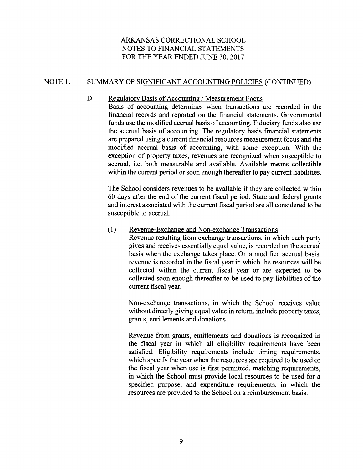#### NOTE 1: SUMMARY OF SIGNIFICANT ACCOUNTING POLICIES (CONTINUED)

#### D. Regulatory Basis of Accounting / Measurement Focus

Basis of accounting determines when transactions are recorded in the financial records and reported on the financial statements. Governmental funds use the modified accrual basis of accounting. Fiduciary funds also use the accrual basis of accounting. The regulatory basis financial statements are prepared using a current financial resources measurement focus and the modified accrual basis of accounting, with some exception. With the exception of property taxes, revenues are recognized when susceptible to accrual, i.e. both measurable and available. Available means collectible within the current period or soon enough thereafter to pay current liabilities.

The School considers revenues to be available if they are collected within 60 days after the end of the current fiscal period. State and federal grants and interest associated with the current fiscal period are all considered to be susceptible to accrual.

#### (1) Revenue-Exchange and Non-exchange Transactions

Revenue resulting from exchange transactions, in which each party gives and receives essentially equal value, is recorded on the accrual basis when the exchange takes place. On a modified accrual basis, revenue is recorded in the fiscal year in which the resources will be collected within the current fiscal year or are expected to be collected soon enough thereafter to be used to pay liabilities of the current fiscal year.

Non-exchange transactions, in which the School receives value without directly giving equal value in return, include property taxes, grants, entitlements and donations.

Revenue from grants, entitlements and donations is recognized in the fiscal year in which all eligibility requirements have been satisfied. Eligibility requirements include timing requirements, which specify the year when the resources are required to be used or the fiscal year when use is first permitted, matching requirements, in which the School must provide local resources to be used for a specified purpose, and expenditure requirements, in which the resources are provided to the School on a reimbursement basis.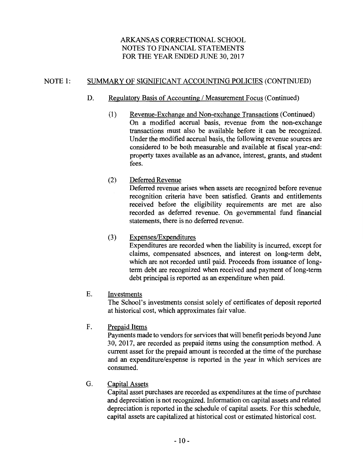#### NOTE 1: SUMMARY OF SIGNIFICANT ACCOUNTING POLICIES (CONTINUED)

### D. Regulatory Basis of Accounting / Measurement Focus (Continued)

(1) Revenue-Exchange and Non-exchange Transactions (Continued) On a modified accrual basis, revenue from the non-exchange transactions must also be available before it can be recognized. Under the modified accrual basis, the following revenue sources are considered to be both measurable and available at fiscal year-end: property taxes available as an advance, interest, grants, and student fees.

### (2) Deferred Revenue

Deferred revenue arises when assets are recognized before revenue recognition criteria have been satisfied. Grants and entitlements received before the eligibility requirements are met are also recorded as deferred revenue. On governmental fund financial statements, there is no deferred revenue.

### (3) Expenses/Expenditures

Expenditures are recorded when the liability is incurred, except for claims, compensated absences, and interest on long-term debt, which are not recorded until paid. Proceeds from issuance of longterm debt are recognized when received and payment of long-term debt principal is reported as an expenditure when paid.

### E. Investments

The School's investments consist solely of certificates of deposit reported at historical cost, which approximates fair value.

### F. Prepaid Items

Payments made to vendors for services that will benefit periods beyond June 30, 2017, are recorded as prepaid items using the consumption method. A current asset for the prepaid amount is recorded at the time of the purchase and an expenditure/expense is reported in the year in which services are consumed.

### G. Capital Assets

Capital asset purchases are recorded as expenditures at the time of purchase and depreciation is not recognized. Information on capital assets and related depreciation is reported in the schedule of capital assets. For this schedule, capital assets are capitalized at historical cost or estimated historical cost.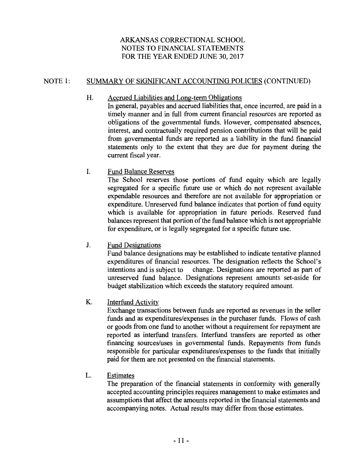#### NOTE 1: SUMMARY OF SIGNIFICANT ACCOUNTING POLICIES (CONTINUED)

### H. Accrued Liabilities and Long-term Obligations

In general, payables and accrued liabilities that, once incurred, are paid in a timely manner and in full from current financial resources are reported as obligations of the governmental funds. However, compensated absences, interest, and contractually required pension contributions that will be paid from governmental funds are reported as a liability in the fund financial statements only to the extent that they are due for payment during the current fiscal year.

### I. Fund Balance Reserves

The School reserves those portions of fund equity which are legally segregated for a specific future use or which do not represent available expendable resources and therefore are not available for appropriation or expenditure. Unreserved fund balance indicates that portion of fund equity which is available for appropriation in future periods. Reserved fund balances represent that portion of the fund balance which is not appropriable for expenditure, or is legally segregated for a specific future use.

J. Fund Designations

Fund balance designations may be established to indicate tentative planned expenditures of financial resources. The designation reflects the School's intentions and is subject to change. Designations are reported as part of change. Designations are reported as part of unreserved fund balance. Designations represent amounts set-aside for budget stabilization which exceeds the statutory required amount.

## K. Interfund Activity

Exchange transactions between funds are reported as revenues in the seller funds and as expenditures/expenses in the purchaser funds. Flows of cash or goods from one fund to another without a requirement for repayment are reported as interfund transfers. Interfund transfers are reported as other financing sources/uses in governmental funds. Repayments from funds responsible for particular expenditures/expenses to the funds that initially paid for them are not presented on the financial statements.

L. Estimates

The preparation of the financial statements in conformity with generally accepted accounting principles requires management to make estimates and assumptions that affect the amounts reported in the financial statements and accompanying notes. Actual results may differ from those estimates.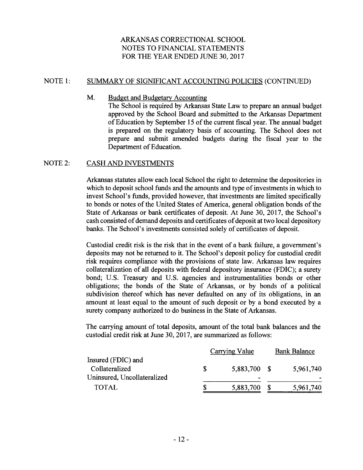#### NOTE 1: SUMMARY OF SIGNIFICANT ACCOUNTING POLICIES (CONTINUED)

M. Budget and Budgetary Accounting

The School is required by Arkansas State Law to prepare an annual budget approved by the School Board and submitted to the Arkansas Department of Education by September 15 of the current fiscal year. The annual budget is prepared on the regulatory basis of accounting. The School does not prepare and submit amended budgets during the fiscal year to the Department of Education.

#### NOTE2: CASH AND INVESTMENTS

Arkansas statutes allow each local School the right to determine the depositories in which to deposit school funds and the amounts and type of investments in which to invest School's funds, provided however, that investments are limited specifically to bonds or notes of the United States of America, general obligation bonds of the State of Arkansas or bank certificates of deposit. At June 30, 2017, the School's cash consisted of demand deposits and certificates of deposit at two local depository banks. The School's investments consisted solely of certificates of deposit.

Custodial credit risk is the risk that in the event of a bank failure, a government's deposits may not be returned to it. The School's deposit policy for custodial credit risk requires compliance with the provisions of state law. Arkansas law requires collateralization of all deposits with federal depository insurance (FDIC); a surety bond; U.S. Treasury and U.S. agencies and instrumentalities bonds or other obligations; the bonds of the State of Arkansas, or by bonds of a political subdivision thereof which has never defaulted on any of its obligations, in an amount at least equal to the amount of such deposit or by a bond executed by a surety company authorized to do business in the State of Arkansas.

The carrying amount of total deposits, amount of the total bank balances and the custodial credit risk at June 30, 2017, are summarized as follows:

|                             |   | Carrying Value |    | <b>Bank Balance</b> |
|-----------------------------|---|----------------|----|---------------------|
| Insured (FDIC) and          |   |                |    |                     |
| Collateralized              | S | 5,883,700      | -8 | 5,961,740           |
| Uninsured, Uncollateralized |   | $\blacksquare$ |    |                     |
| <b>TOTAL</b>                |   | 5,883,700      |    | 5,961,740           |
|                             |   |                |    |                     |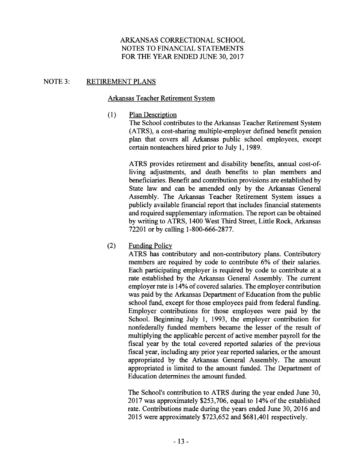#### NOTE3: RETIREMENT PLANS

#### Arkansas Teacher Retirement System

( 1) Plan Description

The School contributes to the Arkansas Teacher Retirement System (ATRS), a cost-sharing multiple-employer defined benefit pension plan that covers all Arkansas public school employees, except certain nonteachers hired prior to July 1, 1989.

ATRS provides retirement and disability benefits, annual cost-ofliving adjustments, and death benefits to plan members and beneficiaries. Benefit and contribution provisions are established by State law and can be amended only by the Arkansas General Assembly. The Arkansas Teacher Retirement System issues a publicly available financial report that includes financial statements and required supplementary information. The report can be obtained by writing to ATRS, 1400 West Third Street, Little Rock, Arkansas 72201 or by calling 1-800-666-2877.

(2) Funding Policy

A TRS has contributory and non-contributory plans. Contributory members are required by code to contribute 6% of their salaries. Each participating employer is required by code to contribute at a rate established by the Arkansas General Assembly. The current employer rate is 14% of covered salaries. The employer contribution was paid by the Arkansas Department of Education from the public school fund, except for those employees paid from federal funding. Employer contributions for those employees were paid by the School. Beginning July 1, 1993, the employer contribution for nonfederally funded members became the lesser of the result of multiplying the applicable percent of active member payroll for the fiscal year by the total covered reported salaries of the previous fiscal year, including any prior year reported salaries, or the amount appropriated by the Arkansas General Assembly. The amount appropriated is limited to the amount funded. The Department of Education determines the amount funded.

The School's contribution to ATRS during the year ended June 30, 2017 was approximately \$253,706, equal to 14% of the established rate. Contributions made during the years ended June 30, 2016 and 2015 were approximately \$723,652 and \$681,401 respectively.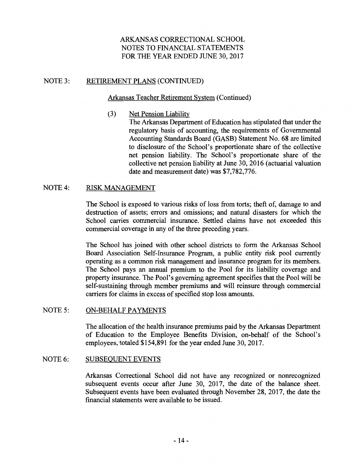#### NOTE3: RETIREMENT PLANS (CONTINUED)

#### Arkansas Teacher Retirement System (Continued)

(3) Net Pension Liability

The Arkansas Department of Education has stipulated that under the regulatory basis of accounting, the requirements of Governmental Accounting Standards Board (GASB) Statement No. 68 are limited to disclosure of the School's proportionate share of the collective net pension liability. The School's proportionate share of the collective net pension liability at June 30, 2016 (actuarial valuation date and measurement date) was \$7,782,776.

#### NOTE4: RISK MANAGEMENT

The School is exposed to various risks of loss from torts; theft of, damage to and destruction of assets; errors and omissions; and natural disasters for which the School carries commercial insurance. Settled claims have not exceeded this commercial coverage in any of the three preceding years.

The School has joined with other school districts to form the Arkansas School Board Association Self-Insurance Program, a public entity risk pool currently operating as a common risk management and insurance program for its members. The School pays an annual premium to the Pool for its liability coverage and property insurance. The Pool's governing agreement specifies that the Pool will be self-sustaining through member premiums and will reinsure through commercial carriers for claims in excess of specified stop loss amounts.

#### NOTE<sub>5</sub>: ON-BEHALF PAYMENTS

The allocation of the health insurance premiums paid by the Arkansas Department of Education to the Employee Benefits Division, on-behalf of the School's employees, totaled \$154,891 for the year ended June 30, 2017.

#### NOTE6: SUBSEQUENT EVENTS

Arkansas Correctional School did not have any recognized or nonrecognized subsequent events occur after June 30, 2017, the date of the balance sheet. Subsequent events have been evaluated through November 28, 2017, the date the financial statements were available to be issued.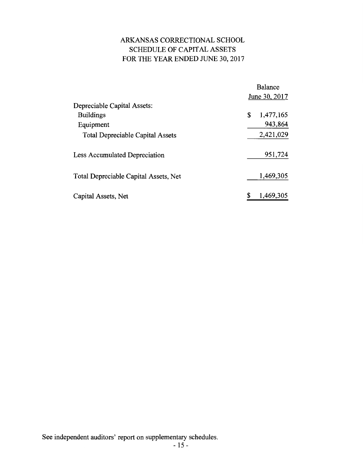## ARKANSAS CORRECTIONAL SCHOOL SCHEDULE OF CAPITAL ASSETS FOR THE YEAR ENDED JUNE 30, 2017

|                                         | <b>Balance</b>  |
|-----------------------------------------|-----------------|
|                                         | June 30, 2017   |
| Depreciable Capital Assets:             |                 |
| <b>Buildings</b>                        | \$<br>1,477,165 |
| Equipment                               | 943,864         |
| <b>Total Depreciable Capital Assets</b> | 2,421,029       |
| Less Accumulated Depreciation           | 951,724         |
| Total Depreciable Capital Assets, Net   | 1,469,305       |
| Capital Assets, Net                     | \$<br>1,469,305 |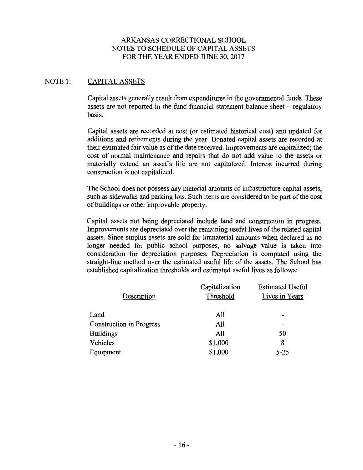### ARKANSAS CORRECTIONAL SCHOOL NOTES TO SCHEDULE OF CAPITAL ASSETS FOR THE YEAR ENDED JUNE 30,2017

#### NOTE 1: CAPITAL ASSETS

Capital assets generally result from expenditures in the governmental funds. These assets are not reported in the fund financial statement balance sheet  $-$  regulatory basis.

Capital assets are recorded at cost (or estimated historical cost) and updated for additions and retirements during the year. Donated capital assets are recorded at their estimated fair value as of the date received. Improvements are capitalized; the cost of normal maintenance and repairs that do not add value to the assets or materially extend an asset's life are not capitalized. Interest incurred during construction is not capitalized.

The School does not possess any material amounts of infrastructure capital assets, such as sidewalks and parking lots. Such items are considered to be part of the cost of buildings or other improvable property.

Capital assets not being depreciated include land and construction in progress. Improvements are depreciated over the remaining useful lives of the related capital assets. Since surplus assets are sold for immaterial amounts when declared as no longer needed for public school purposes, no salvage value is taken into consideration for depreciation purposes. Depreciation is computed using the straight-line method over the estimated useful life of the assets. The School has established capitalization thresholds and estimated useful lives as follows:

| Description                     | Capitalization<br>Threshold | <b>Estimated Useful</b><br>Lives in Years |
|---------------------------------|-----------------------------|-------------------------------------------|
| Land                            | All                         |                                           |
| <b>Construction in Progress</b> | All                         | ٠                                         |
| <b>Buildings</b>                | All                         | 50                                        |
| Vehicles                        | \$1,000                     | 8                                         |
| Equipment                       | \$1,000                     | $5 - 25$                                  |
|                                 |                             |                                           |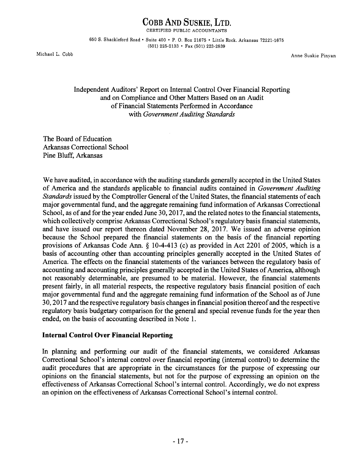# **COBB AND** SUSKIE, **LTD.**

CERTIFIED PUBLIC ACCOUNTANTS

650 S. Shackleford Road • Suite 400 • P. 0. Box 21675 • Little Rock. Arkansas 72221-1675 (501) 225-2133 • Fax (501) 223-2839

Michael L. Cobb

Anne Suskie Pinyan

Independent Auditors' Report on Internal Control Over Financial Reporting and on Compliance and Other Matters Based on an Audit of Financial Statements Performed in Accordance with *Government Auditing Standards* 

The Board of Education Arkansas Correctional School Pine Bluff, Arkansas

We have audited, in accordance with the auditing standards generally accepted in the United States of America and the standards applicable to financial audits contained in *Government Auditing Standards* issued by the Comptroller General of the United States, the financial statements of each major governmental fund, and the aggregate remaining fund information of Arkansas Correctional School, as of and for the year ended June 30, 2017, and the related notes to the financial statements, which collectively comprise Arkansas Correctional School's regulatory basis financial statements, and have issued our report thereon dated November 28, 2017. We issued an adverse opinion because the School prepared the financial statements on the basis of the financial reporting provisions of Arkansas Code Ann. § 10-4-413 (c) as provided in Act 2201 of 2005, which is a basis of accounting other than accounting principles generally accepted in the United States of America. The effects on the financial statements of the variances between the regulatory basis of accounting and accounting principles generally accepted in the United States of America, although not reasonably determinable, are presumed to be material. However, the financial statements present fairly, in all material respects, the respective regulatory basis financial position of each major governmental fund and the aggregate remaining fund information of the School as of June 30, 2017 and the respective regulatory basis changes in financial position thereof and the respective regulatory basis budgetary comparison for the general and special revenue funds for the year then ended, on the basis of accounting described in Note 1.

#### **Internal Control Over Financial Reporting**

In planning and performing our audit of the financial statements, we considered Arkansas Correctional School's internal control over financial reporting (internal control) to determine the audit procedures that are appropriate in the circumstances for the purpose of expressing our opinions on the financial statements, but not for the purpose of expressing an opinion on the effectiveness of Arkansas Correctional School's internal control. Accordingly, we do not express an opinion on the effectiveness of Arkansas Correctional School's internal control.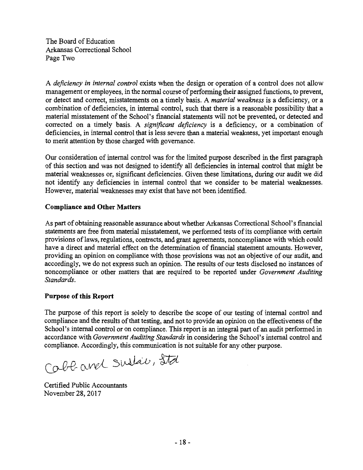The Board of Education Arkansas Correctional School Page Two

A *deficiency in internal control* exists when the design or operation of a control does not allow management or employees, in the normal course of performing their assigned functions, to prevent, or detect and correct, misstatements on a timely basis. A *material weakness* is a deficiency, or a combination of deficiencies, in internal control, such that there is a reasonable possibility that a material misstatement of the School's fmancial statements will not be prevented, or detected and corrected on a timely basis. A *significant deficiency* is a deficiency, or a combination of deficiencies, in internal control that is less severe than a material weakness, yet important enough to merit attention by those charged with governance.

Our consideration of internal control was for the limited purpose described in the first paragraph of this section and was not designed to identify all deficiencies in internal control that might be material weaknesses or, significant deficiencies. Given these limitations, during our audit we did not identify any deficiencies in internal control that we consider to be material weaknesses. However, material weaknesses may exist that have not been identified.

#### **Compliance and Other Matters**

As part of obtaining reasonable assurance about whether Arkansas Correctional School's financial statements are free from material misstatement, we performed tests of its compliance with certain provisions of laws, regulations, contracts, and grant agreements, noncompliance with which could have a direct and material effect on the determination of financial statement amounts. However, providing an opinion on compliance with those provisions was not an objective of our audit, and accordingly, we do not express such an opinion. The results of our tests disclosed no instances of noncompliance or other matters that are required to be reported under *Government Auditing Standards.* 

### **Purpose of this Report**

The purpose of this report is solely to describe the scope of our testing of internal control and compliance and the results of that testing, and not to provide an opinion on the effectiveness of the School's internal control or on compliance. This report is an integral part of an audit performed in accordance with *Government Auditing Standards* in considering the School's internal control and compliance. Accordingly, this communication is not suitable for any other purpose.

Cabb and Sustai, Std

Certified Public Accountants November 28, 2017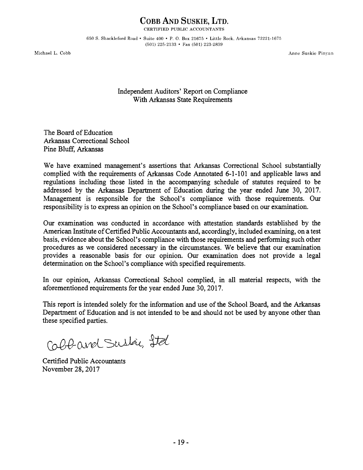# COBB AND SUSKIE, LTD.

CERTIFIED PUBLIC ACCOUNTANTS

650 S. Shackleford Road • Suite 400 • P. 0. Box 21675 • Little Rock, Arkansas 72221-1675 (501) 225-2133 • Fax (501) 223-2839

Michael L. Cobb

Anne Suskie Pinyan

Independent Auditors' Report on Compliance With Arkansas State Requirements

The Board of Education Arkansas Correctional School Pine Bluff, Arkansas

We have examined management's assertions that Arkansas Correctional School substantially complied with the requirements of Arkansas Code Annotated 6-1-101 and applicable laws and regulations including those listed in the accompanying schedule of statutes required to be addressed by the Arkansas Department of Education during the year ended June 30, 2017. Management is responsible for the School's compliance with those requirements. Our responsibility is to express an opinion on the School's compliance based on our examination.

Our examination was conducted in accordance with attestation standards established by the American Institute of Certified Public Accountants and, accordingly, included examining, on a test basis, evidence about the School's compliance with those requirements and performing such other procedures as we considered necessary in the circumstances. We believe that our examination provides a reasonable basis for our opinion. Our examination does not provide a legal determination on the School's compliance with specified requirements.

In our opinion, Arkansas Correctional School complied, in all material respects, with the aforementioned requirements for the year ended June 30, 2017.

This report is intended solely for the information and use of the School Board, and the Arkansas Department of Education and is not intended to be and should not be used by anyone other than these specified parties.

Cobbard Susley, Stel

Certified Public Accountants November 28,2017